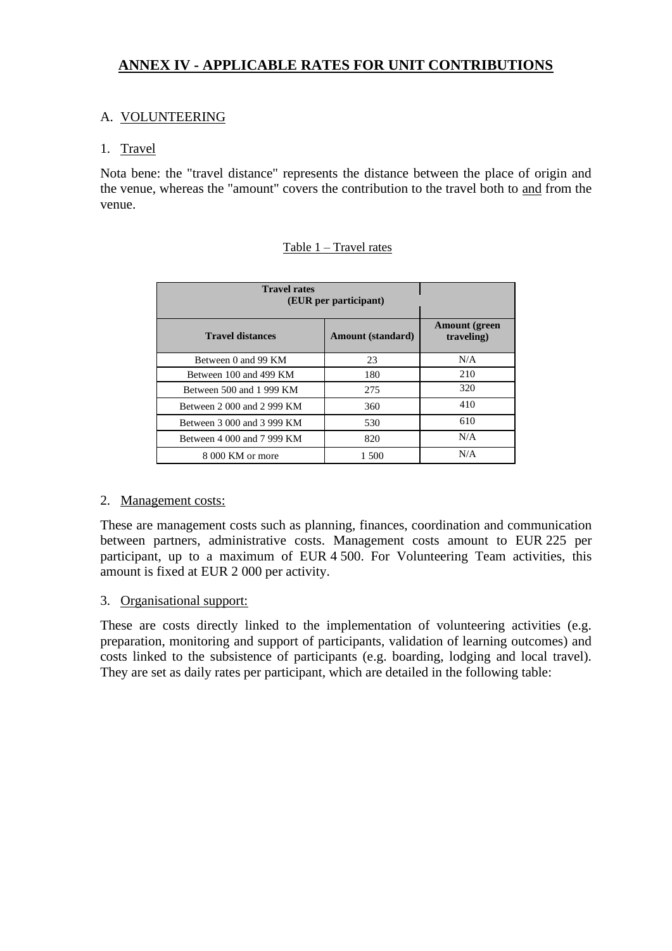# **ANNEX IV - APPLICABLE RATES FOR UNIT CONTRIBUTIONS**

# A. VOLUNTEERING

## 1. Travel

Nota bene: the "travel distance" represents the distance between the place of origin and the venue, whereas the "amount" covers the contribution to the travel both to and from the venue.

### Table 1 – Travel rates

| <b>Travel rates</b><br>(EUR per participant) |                          |                             |
|----------------------------------------------|--------------------------|-----------------------------|
| <b>Travel distances</b>                      | <b>Amount</b> (standard) | Amount (green<br>traveling) |
| Between 0 and 99 KM                          | 23                       | N/A                         |
| Between 100 and 499 KM                       | 180                      | 210                         |
| Between 500 and 1999 KM                      | 275                      | 320                         |
| Between 2 000 and 2 999 KM                   | 360                      | 410                         |
| Between 3 000 and 3 999 KM                   | 530                      | 610                         |
| Between 4 000 and 7 999 KM                   | 820                      | N/A                         |
| 8 000 KM or more                             | 1 500                    | N/A                         |

### 2. Management costs:

These are management costs such as planning, finances, coordination and communication between partners, administrative costs. Management costs amount to EUR 225 per participant, up to a maximum of EUR 4 500. For Volunteering Team activities, this amount is fixed at EUR 2 000 per activity.

### 3. Organisational support:

These are costs directly linked to the implementation of volunteering activities (e.g. preparation, monitoring and support of participants, validation of learning outcomes) and costs linked to the subsistence of participants (e.g. boarding, lodging and local travel). They are set as daily rates per participant, which are detailed in the following table: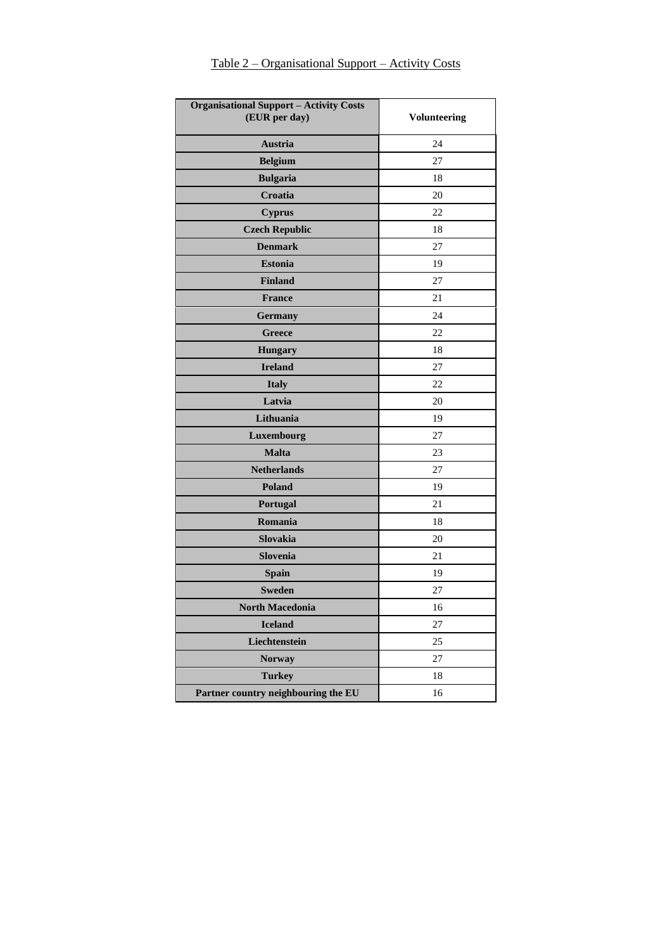| <b>Organisational Support - Activity Costs</b><br>(EUR per day) | <b>Volunteering</b> |
|-----------------------------------------------------------------|---------------------|
| Austria                                                         | 24                  |
| <b>Belgium</b>                                                  | 27                  |
| <b>Bulgaria</b>                                                 | 18                  |
| Croatia                                                         | 20                  |
| <b>Cyprus</b>                                                   | 22                  |
| <b>Czech Republic</b>                                           | 18                  |
| <b>Denmark</b>                                                  | 27                  |
| <b>Estonia</b>                                                  | 19                  |
| <b>Finland</b>                                                  | 27                  |
| <b>France</b>                                                   | 21                  |
| <b>Germany</b>                                                  | 24                  |
| <b>Greece</b>                                                   | 22                  |
| <b>Hungary</b>                                                  | 18                  |
| <b>Ireland</b>                                                  | 27                  |
| <b>Italy</b>                                                    | 22                  |
| Latvia                                                          | 20                  |
| Lithuania                                                       | 19                  |
| Luxembourg                                                      | 27                  |
| <b>Malta</b>                                                    | 23                  |
| <b>Netherlands</b>                                              | 27                  |
| Poland                                                          | 19                  |
| Portugal                                                        | 21                  |
| Romania                                                         | 18                  |
| Slovakia                                                        | 20                  |
| Slovenia                                                        | 21                  |
| <b>Spain</b>                                                    | 19                  |
| <b>Sweden</b>                                                   | 27                  |
| <b>North Macedonia</b>                                          | 16                  |
| <b>Iceland</b>                                                  | $27\,$              |
| Liechtenstein                                                   | 25                  |
| <b>Norway</b>                                                   | $27\,$              |
| <b>Turkey</b>                                                   | $18\,$              |
| Partner country neighbouring the EU                             | 16                  |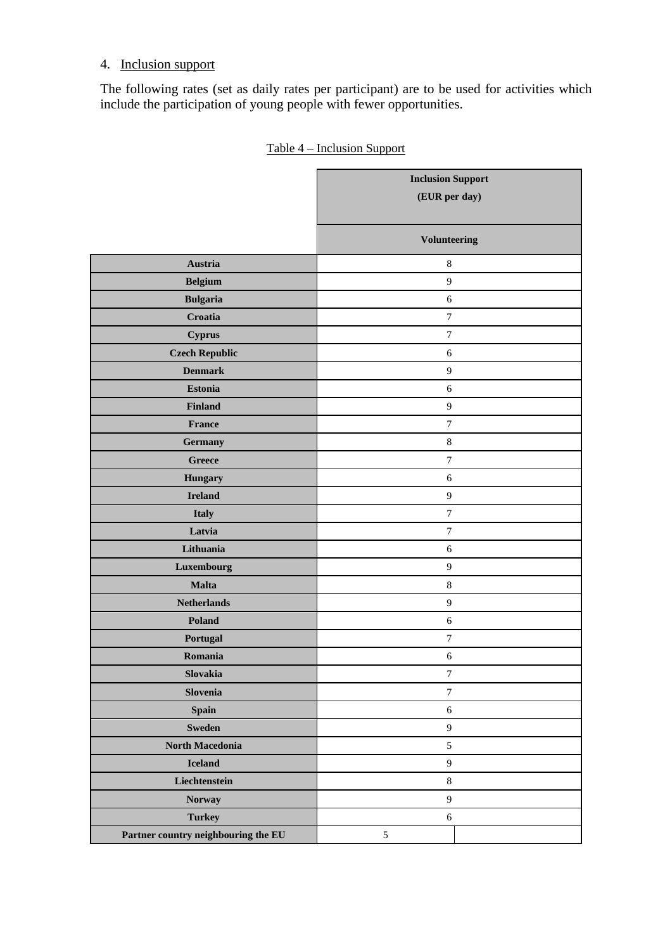# 4. Inclusion support

The following rates (set as daily rates per participant) are to be used for activities which include the participation of young people with fewer opportunities.

|                                     | <b>Inclusion Support</b> |  |
|-------------------------------------|--------------------------|--|
|                                     | (EUR per day)            |  |
|                                     |                          |  |
|                                     | <b>Volunteering</b>      |  |
| Austria                             | 8                        |  |
| <b>Belgium</b>                      | $\overline{9}$           |  |
| <b>Bulgaria</b>                     | $\sqrt{6}$               |  |
| Croatia                             | $\boldsymbol{7}$         |  |
| <b>Cyprus</b>                       | $\sqrt{ }$               |  |
| <b>Czech Republic</b>               | 6                        |  |
| <b>Denmark</b>                      | 9                        |  |
| <b>Estonia</b>                      | $\sqrt{6}$               |  |
| <b>Finland</b>                      | 9                        |  |
| <b>France</b>                       | $\boldsymbol{7}$         |  |
| Germany                             | $\,8\,$                  |  |
| <b>Greece</b>                       | $\boldsymbol{7}$         |  |
| <b>Hungary</b>                      | 6                        |  |
| <b>Ireland</b>                      | $\overline{9}$           |  |
| <b>Italy</b>                        | $\boldsymbol{7}$         |  |
| Latvia                              | $\boldsymbol{7}$         |  |
| Lithuania                           | $6\,$                    |  |
| Luxembourg                          | $\overline{9}$           |  |
| <b>Malta</b>                        | $\,8\,$                  |  |
| <b>Netherlands</b>                  | 9                        |  |
| Poland                              | $\sqrt{6}$               |  |
| Portugal                            | $\boldsymbol{7}$         |  |
| Romania                             | 6                        |  |
| Slovakia                            | 7                        |  |
| Slovenia                            | $\boldsymbol{7}$         |  |
| <b>Spain</b>                        | $\sqrt{6}$               |  |
| <b>Sweden</b>                       | $\overline{9}$           |  |
| North Macedonia                     | $\sqrt{5}$               |  |
| <b>Iceland</b>                      | $\boldsymbol{9}$         |  |
| Liechtenstein                       | $\,8\,$                  |  |
| <b>Norway</b>                       | $\boldsymbol{9}$         |  |
| <b>Turkey</b>                       | $\sqrt{6}$               |  |
| Partner country neighbouring the EU | $\sqrt{5}$               |  |

| Table 4 – Inclusion Support |
|-----------------------------|
|-----------------------------|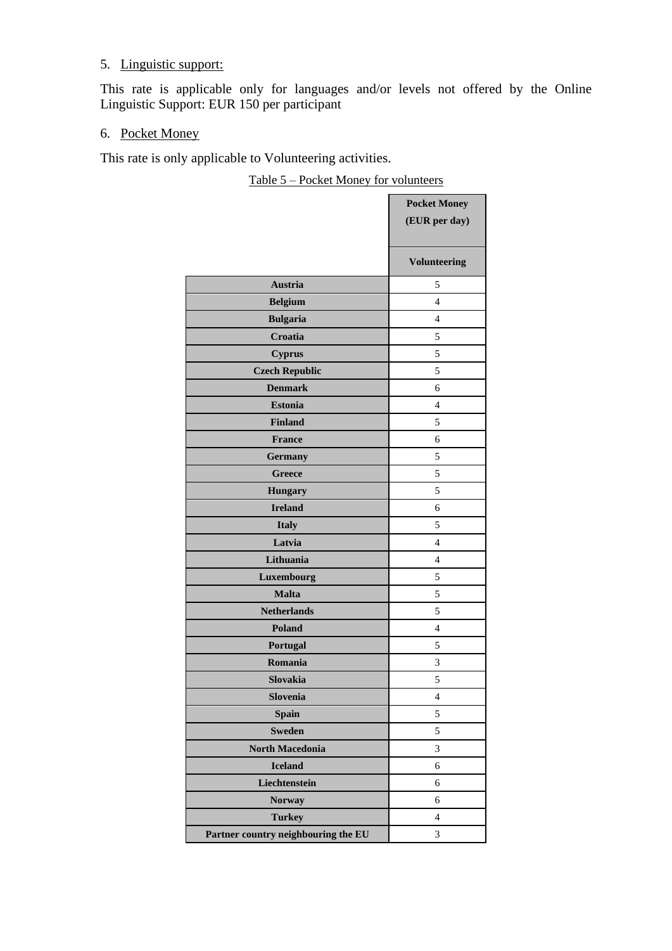# 5. Linguistic support:

This rate is applicable only for languages and/or levels not offered by the Online Linguistic Support: EUR 150 per participant

# 6. Pocket Money

This rate is only applicable to Volunteering activities.

Table 5 – Pocket Money for volunteers

|                                     | <b>Pocket Money</b><br>(EUR per day) |
|-------------------------------------|--------------------------------------|
|                                     | <b>Volunteering</b>                  |
| Austria                             | 5                                    |
| <b>Belgium</b>                      | $\overline{4}$                       |
| <b>Bulgaria</b>                     | $\overline{4}$                       |
| Croatia                             | 5                                    |
| <b>Cyprus</b>                       | 5                                    |
| <b>Czech Republic</b>               | 5                                    |
| <b>Denmark</b>                      | 6                                    |
| <b>Estonia</b>                      | 4                                    |
| <b>Finland</b>                      | 5                                    |
| <b>France</b>                       | 6                                    |
| <b>Germany</b>                      | 5                                    |
| <b>Greece</b>                       | 5                                    |
| <b>Hungary</b>                      | 5                                    |
| <b>Ireland</b>                      | 6                                    |
| <b>Italy</b>                        | 5                                    |
| Latvia                              | $\overline{4}$                       |
| Lithuania                           | 4                                    |
| Luxembourg                          | 5                                    |
| <b>Malta</b>                        | 5                                    |
| <b>Netherlands</b>                  | 5                                    |
| Poland                              | $\overline{4}$                       |
| Portugal                            | 5                                    |
| Romania                             | 3                                    |
| Slovakia                            | 5                                    |
| Slovenia                            | 4                                    |
| <b>Spain</b>                        | 5                                    |
| <b>Sweden</b>                       | 5                                    |
| <b>North Macedonia</b>              | 3                                    |
| <b>Iceland</b>                      | 6                                    |
| Liechtenstein                       | 6                                    |
| <b>Norway</b>                       | 6                                    |
| <b>Turkey</b>                       | $\overline{4}$                       |
| Partner country neighbouring the EU | 3                                    |